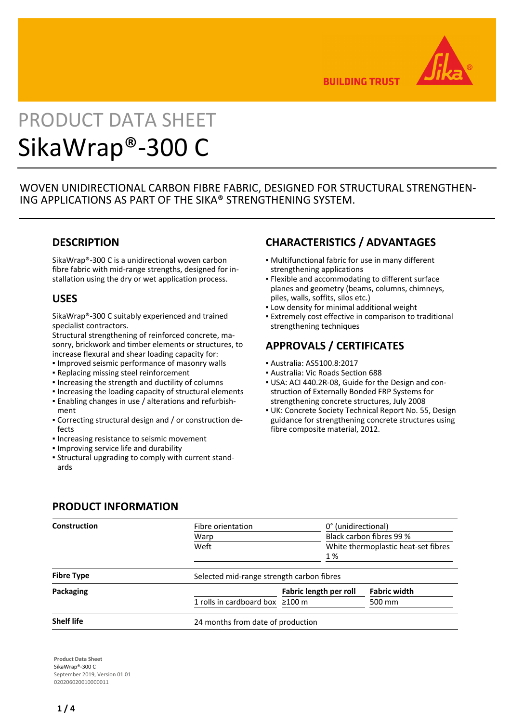

**BUILDING TRUST** 

# PRODUCT DATA SHEET SikaWrap®-300 C

WOVEN UNIDIRECTIONAL CARBON FIBRE FABRIC, DESIGNED FOR STRUCTURAL STRENGTHEN-ING APPLICATIONS AS PART OF THE SIKA® STRENGTHENING SYSTEM.

## **DESCRIPTION**

SikaWrap®-300 C is a unidirectional woven carbon fibre fabric with mid-range strengths, designed for installation using the dry or wet application process.

## **USES**

SikaWrap®-300 C suitably experienced and trained specialist contractors.

Structural strengthening of reinforced concrete, masonry, brickwork and timber elements or structures, to increase flexural and shear loading capacity for:

- Improved seismic performance of masonry walls
- Replacing missing steel reinforcement
- Increasing the strength and ductility of columns
- Increasing the loading capacity of structural elements
- Enabling changes in use / alterations and refurbish-▪ ment
- Correcting structural design and / or construction de-▪ fects
- **.** Increasing resistance to seismic movement
- Improving service life and durability
- Structural upgrading to comply with current stand-▪ ards

# **CHARACTERISTICS / ADVANTAGES**

- Multifunctional fabric for use in many different strengthening applications
- **.** Flexible and accommodating to different surface planes and geometry (beams, columns, chimneys, piles, walls, soffits, silos etc.)
- **.** Low density for minimal additional weight
- **Extremely cost effective in comparison to traditional** strengthening techniques

# **APPROVALS / CERTIFICATES**

- Australia: AS5100.8:2017
- Australia: Vic Roads Section 688
- USA: ACI 440.2R-08, Guide for the Design and con-▪ struction of Externally Bonded FRP Systems for strengthening concrete structures, July 2008
- **UK: Concrete Society Technical Report No. 55, Design** guidance for strengthening concrete structures using fibre composite material, 2012.

| <b>PRODUCT INFORMATION</b> |  |  |  |  |
|----------------------------|--|--|--|--|
|----------------------------|--|--|--|--|

| Construction      | Fibre orientation                         |                                                                        | 0° (unidirectional) |  |
|-------------------|-------------------------------------------|------------------------------------------------------------------------|---------------------|--|
|                   | Warp                                      | Black carbon fibres 99 %<br>White thermoplastic heat-set fibres<br>1 % |                     |  |
|                   | Weft                                      |                                                                        |                     |  |
| <b>Fibre Type</b> | Selected mid-range strength carbon fibres |                                                                        |                     |  |
| Packaging         |                                           | Fabric length per roll                                                 | <b>Fabric width</b> |  |
|                   | 1 rolls in cardboard box $\geq 100$ m     |                                                                        | 500 mm              |  |
| <b>Shelf life</b> | 24 months from date of production         |                                                                        |                     |  |

**Product Data Sheet** SikaWrap®-300 C September 2019, Version 01.01 020206020010000011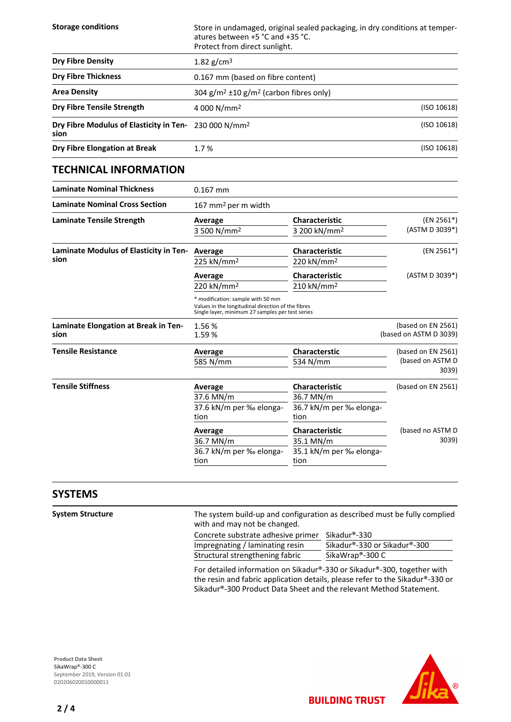| <b>Storage conditions</b>                                                 | Store in undamaged, original sealed packaging, in dry conditions at temper-<br>atures between +5 °C and +35 °C.<br>Protect from direct sunlight. |  |
|---------------------------------------------------------------------------|--------------------------------------------------------------------------------------------------------------------------------------------------|--|
| <b>Dry Fibre Density</b>                                                  | 1.82 $g/cm^3$                                                                                                                                    |  |
| <b>Dry Fibre Thickness</b>                                                | 0.167 mm (based on fibre content)                                                                                                                |  |
| <b>Area Density</b>                                                       | $304$ g/m <sup>2</sup> $\pm$ 10 g/m <sup>2</sup> (carbon fibres only)                                                                            |  |
| <b>Dry Fibre Tensile Strength</b>                                         | (ISO 10618)<br>4 000 N/mm <sup>2</sup>                                                                                                           |  |
| Dry Fibre Modulus of Elasticity in Ten- 230 000 N/mm <sup>2</sup><br>sion | (ISO 10618)                                                                                                                                      |  |
| Dry Fibre Elongation at Break                                             | (ISO 10618)<br>1.7%                                                                                                                              |  |

## **TECHNICAL INFORMATION**

| <b>Laminate Nominal Thickness</b>            | $0.167$ mm                                                                                                                                  |                                                   |                                              |
|----------------------------------------------|---------------------------------------------------------------------------------------------------------------------------------------------|---------------------------------------------------|----------------------------------------------|
| <b>Laminate Nominal Cross Section</b>        | 167 mm <sup>2</sup> per m width                                                                                                             |                                                   |                                              |
| <b>Laminate Tensile Strength</b>             | Average<br>3 500 N/mm <sup>2</sup>                                                                                                          | <b>Characteristic</b><br>3 200 kN/mm <sup>2</sup> | $(EN 2561*)$<br>(ASTM D 3039*)               |
| Laminate Modulus of Elasticity in Ten-       | Average                                                                                                                                     | <b>Characteristic</b>                             | (EN 2561*)                                   |
| sion                                         | 225 kN/mm <sup>2</sup>                                                                                                                      | 220 kN/mm <sup>2</sup>                            |                                              |
|                                              | Average                                                                                                                                     | <b>Characteristic</b>                             | (ASTM D 3039*)                               |
|                                              | 220 kN/mm <sup>2</sup>                                                                                                                      | 210 kN/mm <sup>2</sup>                            |                                              |
|                                              | * modification: sample with 50 mm<br>Values in the longitudinal direction of the fibres<br>Single layer, minimum 27 samples per test series |                                                   |                                              |
| Laminate Elongation at Break in Ten-<br>sion | 1.56%<br>1.59%                                                                                                                              |                                                   | (based on EN 2561)<br>(based on ASTM D 3039) |
| <b>Tensile Resistance</b>                    | Average                                                                                                                                     | <b>Characterstic</b>                              | (based on EN 2561)                           |
|                                              | 585 N/mm                                                                                                                                    | 534 N/mm                                          | (based on ASTM D<br>3039)                    |
| <b>Tensile Stiffness</b>                     | Average                                                                                                                                     | <b>Characteristic</b>                             | (based on EN 2561)                           |
|                                              | 37.6 MN/m                                                                                                                                   | 36.7 MN/m                                         |                                              |
|                                              | 37.6 kN/m per ‰ elonga-                                                                                                                     | 36.7 kN/m per ‰ elonga-                           |                                              |
|                                              | tion                                                                                                                                        | tion                                              |                                              |
|                                              | Average                                                                                                                                     | <b>Characteristic</b>                             | (based no ASTM D                             |
|                                              | 36.7 MN/m                                                                                                                                   | 35.1 MN/m                                         | 3039)                                        |
|                                              | 36.7 kN/m per ‰ elonga-                                                                                                                     | 35.1 kN/m per ‰ elonga-                           |                                              |
|                                              | tion                                                                                                                                        | tion                                              |                                              |

### **SYSTEMS**

**System Structure** The system build-up and configuration as described must be fully complied with and may not be changed.

| Concrete substrate adhesive primer Sikadur®-330 |                              |
|-------------------------------------------------|------------------------------|
| Impregnating / laminating resin                 | Sikadur®-330 or Sikadur®-300 |
| Structural strengthening fabric                 | SikaWrap <sup>®</sup> -300 C |

For detailed information on Sikadur®-330 or Sikadur®-300, together with the resin and fabric application details, please refer to the Sikadur®-330 or Sikadur®-300 Product Data Sheet and the relevant Method Statement.

**BUILDING TRUST** 

**Product Data Sheet** SikaWrap®-300 C September 2019, Version 01.01 020206020010000011



L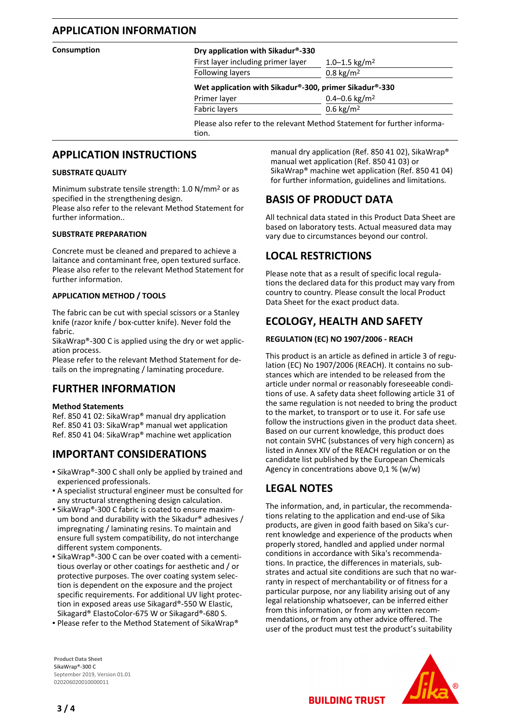## **APPLICATION INFORMATION**

#### **Consumption Dry application with Sikadur®-330**

First layer including primer layer  $1.0-1.5 \text{ kg/m}^2$ Following layers 0.8 kg/m<sup>2</sup>

#### **Wet application with Sikadur®-300, primer Sikadur®-330**

Primer layer 0.4–0.6 kg/m<sup>2</sup> Fabric layers 0.6 kg/m<sup>2</sup>

Please also refer to the relevant Method Statement for further information.

## **APPLICATION INSTRUCTIONS**

#### **SUBSTRATE QUALITY**

Minimum substrate tensile strength: 1.0 N/mm2 or as specified in the strengthening design.

Please also refer to the relevant Method Statement for further information..

#### **SUBSTRATE PREPARATION**

Concrete must be cleaned and prepared to achieve a laitance and contaminant free, open textured surface. Please also refer to the relevant Method Statement for further information.

#### **APPLICATION METHOD / TOOLS**

The fabric can be cut with special scissors or a Stanley knife (razor knife / box-cutter knife). Never fold the fabric.

SikaWrap®-300 C is applied using the dry or wet application process.

Please refer to the relevant Method Statement for details on the impregnating / laminating procedure.

## **FURTHER INFORMATION**

#### **Method Statements**

Ref. 850 41 02: SikaWrap® manual dry application Ref. 850 41 03: SikaWrap® manual wet application Ref. 850 41 04: SikaWrap® machine wet application

## **IMPORTANT CONSIDERATIONS**

- SikaWrap®-300 C shall only be applied by trained and experienced professionals.
- A specialist structural engineer must be consulted for any structural strengthening design calculation.
- **SikaWrap®-300 C fabric is coated to ensure maxim**um bond and durability with the Sikadur® adhesives / impregnating / laminating resins. To maintain and ensure full system compatibility, do not interchange different system components.
- SikaWrap®-300 C can be over coated with a cementitious overlay or other coatings for aesthetic and / or protective purposes. The over coating system selection is dependent on the exposure and the project specific requirements. For additional UV light protection in exposed areas use Sikagard®-550 W Elastic, Sikagard® ElastoColor-675 W or Sikagard®-680 S.
- Please refer to the Method Statement of SikaWrap®

manual dry application (Ref. 850 41 02), SikaWrap® manual wet application (Ref. 850 41 03) or SikaWrap® machine wet application (Ref. 850 41 04) for further information, guidelines and limitations.

# **BASIS OF PRODUCT DATA**

All technical data stated in this Product Data Sheet are based on laboratory tests. Actual measured data may vary due to circumstances beyond our control.

## **LOCAL RESTRICTIONS**

Please note that as a result of specific local regulations the declared data for this product may vary from country to country. Please consult the local Product Data Sheet for the exact product data.

# **ECOLOGY, HEALTH AND SAFETY**

#### **REGULATION (EC) NO 1907/2006 - REACH**

This product is an article as defined in article 3 of regulation (EC) No 1907/2006 (REACH). It contains no substances which are intended to be released from the article under normal or reasonably foreseeable conditions of use. A safety data sheet following article 31 of the same regulation is not needed to bring the product to the market, to transport or to use it. For safe use follow the instructions given in the product data sheet. Based on our current knowledge, this product does not contain SVHC (substances of very high concern) as listed in Annex XIV of the REACH regulation or on the candidate list published by the European Chemicals Agency in concentrations above 0,1 % (w/w)

## **LEGAL NOTES**

The information, and, in particular, the recommendations relating to the application and end-use of Sika products, are given in good faith based on Sika's current knowledge and experience of the products when properly stored, handled and applied under normal conditions in accordance with Sika's recommendations. In practice, the differences in materials, substrates and actual site conditions are such that no warranty in respect of merchantability or of fitness for a particular purpose, nor any liability arising out of any legal relationship whatsoever, can be inferred either from this information, or from any written recommendations, or from any other advice offered. The user of the product must test the product's suitability

**BUILDING TRUST** 

**Product Data Sheet** SikaWrap®-300 C September 2019, Version 01.01 020206020010000011